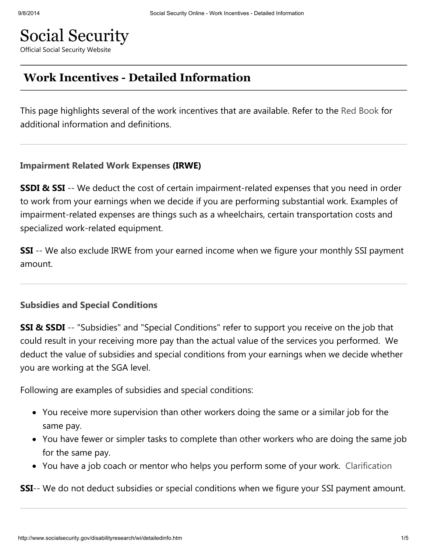# Social Security

Official Social Security Website

# Work Incentives - Detailed Information

This page highlights several of the work incentives that are available. Refer to the Red Book for additional information and definitions.

#### Impairment Related Work Expenses (IRWE)

**SSDI & SSI** -- We deduct the cost of certain impairment-related expenses that you need in order to work from your earnings when we decide if you are performing substantial work. Examples of impairment-related expenses are things such as a wheelchairs, certain transportation costs and specialized work-related equipment.

**SSI** -- We also exclude IRWE from your earned income when we figure your monthly SSI payment amount.

#### Subsidies and Special Conditions

SSI & SSDI -- "Subsidies" and "Special Conditions" refer to support you receive on the job that could result in your receiving more pay than the actual value of the services you performed. We deduct the value of subsidies and special conditions from your earnings when we decide whether you are working at the SGA level.

Following are examples of subsidies and special conditions:

- You receive more supervision than other workers doing the same or a similar job for the same pay.
- You have fewer or simpler tasks to complete than other workers who are doing the same job for the same pay.
- You have a job coach or mentor who helps you perform some of your work. Clarification

**SSI**-- We do not deduct subsidies or special conditions when we figure your SSI payment amount.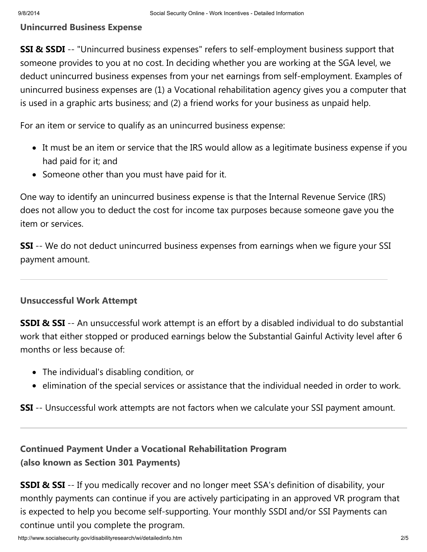#### Unincurred Business Expense

SSI & SSDI -- "Unincurred business expenses" refers to self-employment business support that someone provides to you at no cost. In deciding whether you are working at the SGA level, we deduct unincurred business expenses from your net earnings from self-employment. Examples of unincurred business expenses are (1) a Vocational rehabilitation agency gives you a computer that is used in a graphic arts business; and (2) a friend works for your business as unpaid help.

For an item or service to qualify as an unincurred business expense:

- It must be an item or service that the IRS would allow as a legitimate business expense if you had paid for it; and
- Someone other than you must have paid for it.

One way to identify an unincurred business expense is that the Internal Revenue Service (IRS) does not allow you to deduct the cost for income tax purposes because someone gave you the item or services.

**SSI** -- We do not deduct unincurred business expenses from earnings when we figure your SSI payment amount.

## Unsuccessful Work Attempt

SSDI & SSI -- An unsuccessful work attempt is an effort by a disabled individual to do substantial work that either stopped or produced earnings below the Substantial Gainful Activity level after 6 months or less because of:

- The individual's disabling condition, or
- elimination of the special services or assistance that the individual needed in order to work.

**SSI** -- Unsuccessful work attempts are not factors when we calculate your SSI payment amount.

# Continued Payment Under a Vocational Rehabilitation Program (also known as Section 301 Payments)

**SSDI & SSI** -- If you medically recover and no longer meet SSA's definition of disability, your monthly payments can continue if you are actively participating in an approved VR program that is expected to help you become self-supporting. Your monthly SSDI and/or SSI Payments can continue until you complete the program.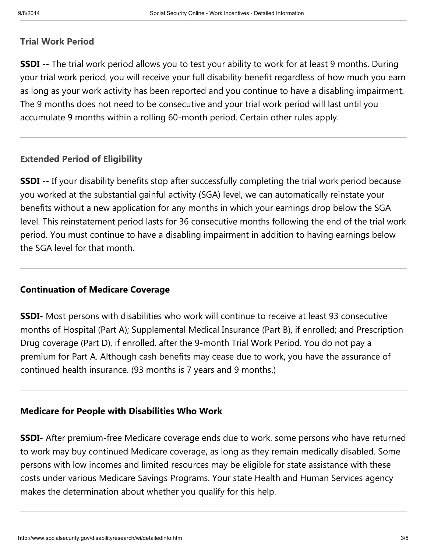#### Trial Work Period

**SSDI** -- The trial work period allows you to test your ability to work for at least 9 months. During your trial work period, you will receive your full disability benefit regardless of how much you earn as long as your work activity has been reported and you continue to have a disabling impairment. The 9 months does not need to be consecutive and your trial work period will last until you accumulate 9 months within a rolling 60-month period. Certain other rules apply.

#### Extended Period of Eligibility

**SSDI** -- If your disability benefits stop after successfully completing the trial work period because you worked at the substantial gainful activity (SGA) level, we can automatically reinstate your benefits without a new application for any months in which your earnings drop below the SGA level. This reinstatement period lasts for 36 consecutive months following the end of the trial work period. You must continue to have a disabling impairment in addition to having earnings below the SGA level for that month.

#### Continuation of Medicare Coverage

**SSDI-** Most persons with disabilities who work will continue to receive at least 93 consecutive months of Hospital (Part A); Supplemental Medical Insurance (Part B), if enrolled; and Prescription Drug coverage (Part D), if enrolled, after the 9-month Trial Work Period. You do not pay a premium for Part A. Although cash benefits may cease due to work, you have the assurance of continued health insurance. (93 months is 7 years and 9 months.)

#### Medicare for People with Disabilities Who Work

**SSDI-** After premium-free Medicare coverage ends due to work, some persons who have returned to work may buy continued Medicare coverage, as long as they remain medically disabled. Some persons with low incomes and limited resources may be eligible for state assistance with these costs under various Medicare Savings Programs. Your state Health and Human Services agency makes the determination about whether you qualify for this help.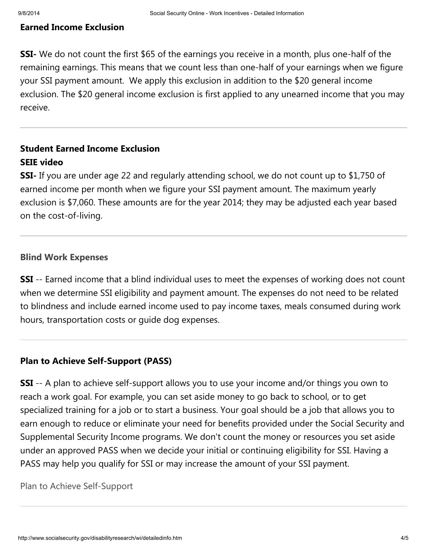#### Earned Income Exclusion

**SSI-** We do not count the first \$65 of the earnings you receive in a month, plus one-half of the remaining earnings. This means that we count less than one-half of your earnings when we figure your SSI payment amount. We apply this exclusion in addition to the \$20 general income exclusion. The \$20 general income exclusion is first applied to any unearned income that you may receive.

# Student Earned Income Exclusion SEIE [video](http://www.yorkcast.com/ssa/2013/student_earned_income.mp4)

**SSI-** If you are under age 22 and regularly attending school, we do not count up to \$1,750 of earned income per month when we figure your SSI payment amount. The maximum yearly exclusion is \$7,060. These amounts are for the year 2014; they may be adjusted each year based on the cost-of-living.

#### Blind Work Expenses

**SSI** -- Earned income that a blind individual uses to meet the expenses of working does not count when we determine SSI eligibility and payment amount. The expenses do not need to be related to blindness and include earned income used to pay income taxes, meals consumed during work hours, transportation costs or guide dog expenses.

#### Plan to Achieve Self-Support (PASS)

**SSI** -- A plan to achieve self-support allows you to use your income and/or things you own to reach a work goal. For example, you can set aside money to go back to school, or to get specialized training for a job or to start a business. Your goal should be a job that allows you to earn enough to reduce or eliminate your need for benefits provided under the Social Security and Supplemental Security Income programs. We don't count the money or resources you set aside under an approved PASS when we decide your initial or continuing eligibility for SSI. Having a PASS may help you qualify for SSI or may increase the amount of your SSI payment.

Plan to Achieve [Self-Support](http://www.socialsecurity.gov/disabilityresearch/wi/pass.htm)